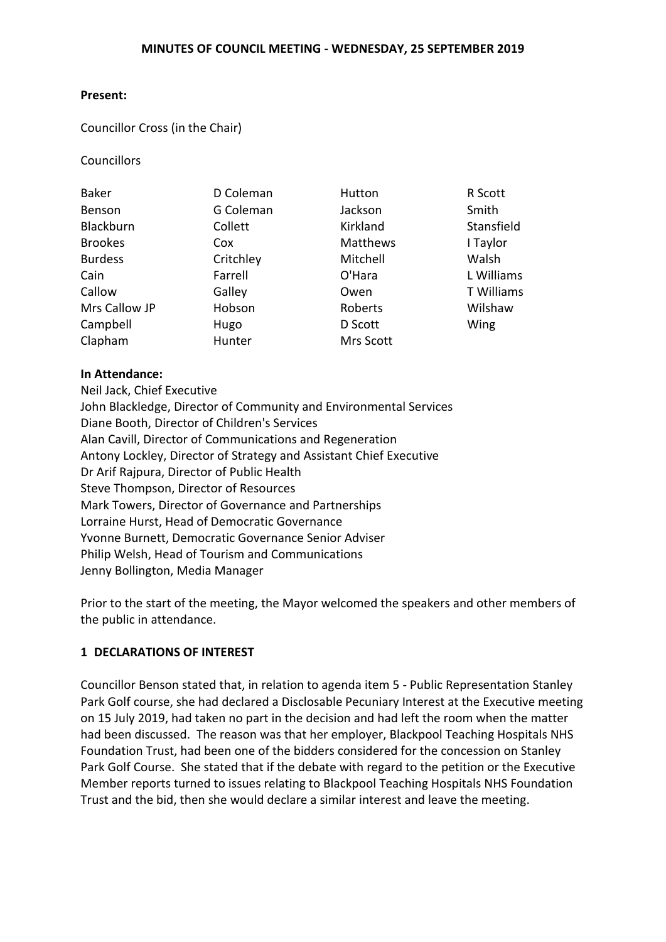#### **Present:**

#### Councillor Cross (in the Chair)

**Councillors** 

| <b>Baker</b>   | D Coleman | Hutton          | R Scott    |
|----------------|-----------|-----------------|------------|
| Benson         | G Coleman | Jackson         | Smith      |
| Blackburn      | Collett   | Kirkland        | Stansfield |
| <b>Brookes</b> | Cox       | <b>Matthews</b> | I Taylor   |
| <b>Burdess</b> | Critchley | Mitchell        | Walsh      |
| Cain           | Farrell   | O'Hara          | L Williams |
| Callow         | Galley    | Owen            | T Williams |
| Mrs Callow JP  | Hobson    | Roberts         | Wilshaw    |
| Campbell       | Hugo      | D Scott         | Wing       |
| Clapham        | Hunter    | Mrs Scott       |            |

## **In Attendance:**

Neil Jack, Chief Executive John Blackledge, Director of Community and Environmental Services Diane Booth, Director of Children's Services Alan Cavill, Director of Communications and Regeneration Antony Lockley, Director of Strategy and Assistant Chief Executive Dr Arif Rajpura, Director of Public Health Steve Thompson, Director of Resources Mark Towers, Director of Governance and Partnerships Lorraine Hurst, Head of Democratic Governance Yvonne Burnett, Democratic Governance Senior Adviser Philip Welsh, Head of Tourism and Communications Jenny Bollington, Media Manager

Prior to the start of the meeting, the Mayor welcomed the speakers and other members of the public in attendance.

# **1 DECLARATIONS OF INTEREST**

Councillor Benson stated that, in relation to agenda item 5 - Public Representation Stanley Park Golf course, she had declared a Disclosable Pecuniary Interest at the Executive meeting on 15 July 2019, had taken no part in the decision and had left the room when the matter had been discussed. The reason was that her employer, Blackpool Teaching Hospitals NHS Foundation Trust, had been one of the bidders considered for the concession on Stanley Park Golf Course. She stated that if the debate with regard to the petition or the Executive Member reports turned to issues relating to Blackpool Teaching Hospitals NHS Foundation Trust and the bid, then she would declare a similar interest and leave the meeting.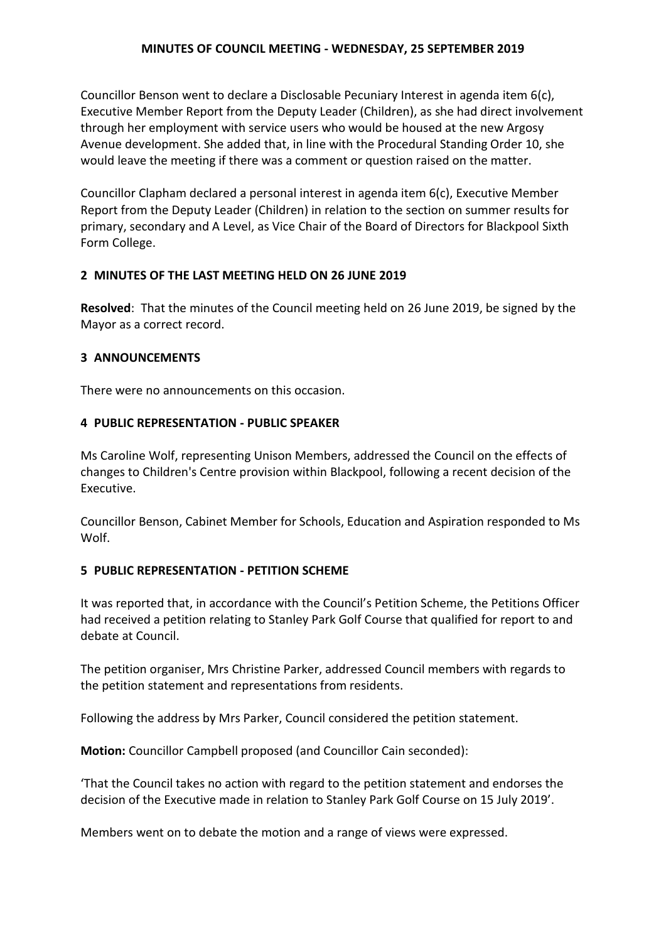Councillor Benson went to declare a Disclosable Pecuniary Interest in agenda item 6(c), Executive Member Report from the Deputy Leader (Children), as she had direct involvement through her employment with service users who would be housed at the new Argosy Avenue development. She added that, in line with the Procedural Standing Order 10, she would leave the meeting if there was a comment or question raised on the matter.

Councillor Clapham declared a personal interest in agenda item 6(c), Executive Member Report from the Deputy Leader (Children) in relation to the section on summer results for primary, secondary and A Level, as Vice Chair of the Board of Directors for Blackpool Sixth Form College.

## **2 MINUTES OF THE LAST MEETING HELD ON 26 JUNE 2019**

**Resolved**: That the minutes of the Council meeting held on 26 June 2019, be signed by the Mayor as a correct record.

## **3 ANNOUNCEMENTS**

There were no announcements on this occasion.

## **4 PUBLIC REPRESENTATION - PUBLIC SPEAKER**

Ms Caroline Wolf, representing Unison Members, addressed the Council on the effects of changes to Children's Centre provision within Blackpool, following a recent decision of the Executive.

Councillor Benson, Cabinet Member for Schools, Education and Aspiration responded to Ms Wolf.

# **5 PUBLIC REPRESENTATION - PETITION SCHEME**

It was reported that, in accordance with the Council's Petition Scheme, the Petitions Officer had received a petition relating to Stanley Park Golf Course that qualified for report to and debate at Council.

The petition organiser, Mrs Christine Parker, addressed Council members with regards to the petition statement and representations from residents.

Following the address by Mrs Parker, Council considered the petition statement.

**Motion:** Councillor Campbell proposed (and Councillor Cain seconded):

'That the Council takes no action with regard to the petition statement and endorses the decision of the Executive made in relation to Stanley Park Golf Course on 15 July 2019'.

Members went on to debate the motion and a range of views were expressed.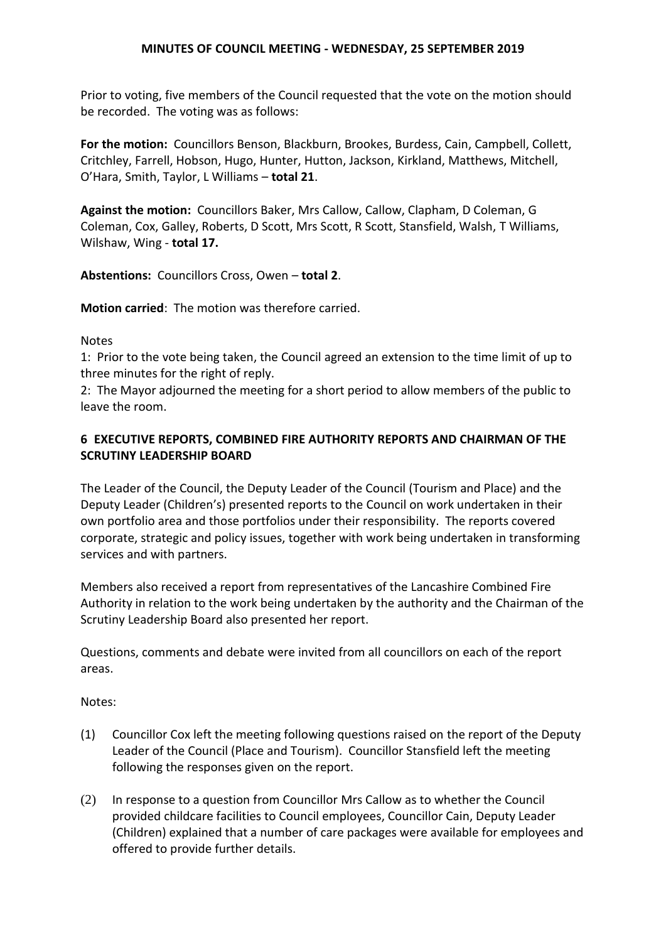Prior to voting, five members of the Council requested that the vote on the motion should be recorded. The voting was as follows:

**For the motion:** Councillors Benson, Blackburn, Brookes, Burdess, Cain, Campbell, Collett, Critchley, Farrell, Hobson, Hugo, Hunter, Hutton, Jackson, Kirkland, Matthews, Mitchell, O'Hara, Smith, Taylor, L Williams – **total 21**.

**Against the motion:** Councillors Baker, Mrs Callow, Callow, Clapham, D Coleman, G Coleman, Cox, Galley, Roberts, D Scott, Mrs Scott, R Scott, Stansfield, Walsh, T Williams, Wilshaw, Wing - **total 17.**

**Abstentions:** Councillors Cross, Owen – **total 2**.

**Motion carried**: The motion was therefore carried.

## Notes

1: Prior to the vote being taken, the Council agreed an extension to the time limit of up to three minutes for the right of reply.

2: The Mayor adjourned the meeting for a short period to allow members of the public to leave the room.

# **6 EXECUTIVE REPORTS, COMBINED FIRE AUTHORITY REPORTS AND CHAIRMAN OF THE SCRUTINY LEADERSHIP BOARD**

The Leader of the Council, the Deputy Leader of the Council (Tourism and Place) and the Deputy Leader (Children's) presented reports to the Council on work undertaken in their own portfolio area and those portfolios under their responsibility. The reports covered corporate, strategic and policy issues, together with work being undertaken in transforming services and with partners.

Members also received a report from representatives of the Lancashire Combined Fire Authority in relation to the work being undertaken by the authority and the Chairman of the Scrutiny Leadership Board also presented her report.

Questions, comments and debate were invited from all councillors on each of the report areas.

# Notes:

- (1) Councillor Cox left the meeting following questions raised on the report of the Deputy Leader of the Council (Place and Tourism). Councillor Stansfield left the meeting following the responses given on the report.
- (2) In response to a question from Councillor Mrs Callow as to whether the Council provided childcare facilities to Council employees, Councillor Cain, Deputy Leader (Children) explained that a number of care packages were available for employees and offered to provide further details.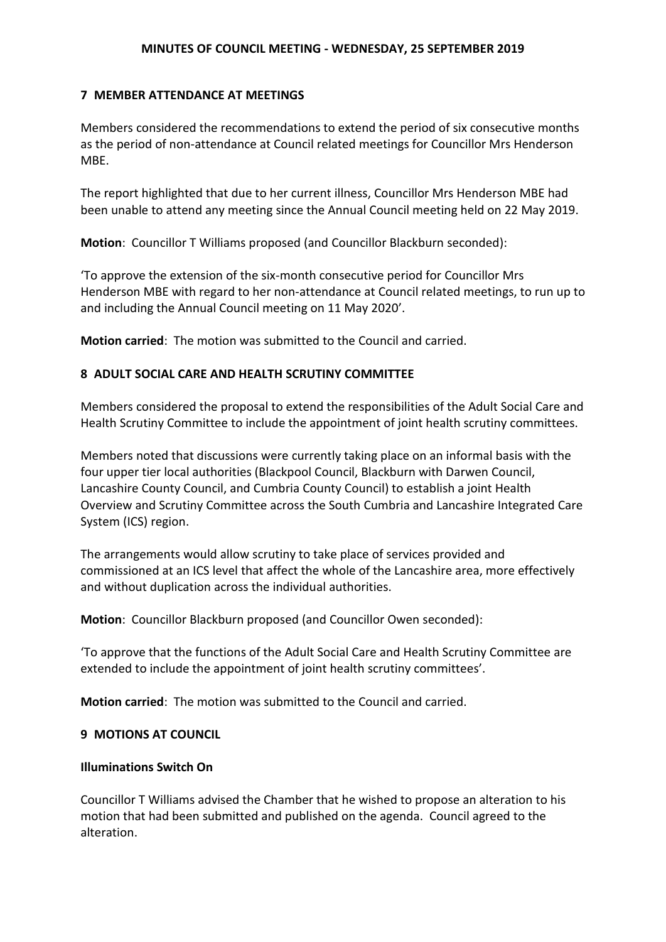## **7 MEMBER ATTENDANCE AT MEETINGS**

Members considered the recommendations to extend the period of six consecutive months as the period of non-attendance at Council related meetings for Councillor Mrs Henderson MBE.

The report highlighted that due to her current illness, Councillor Mrs Henderson MBE had been unable to attend any meeting since the Annual Council meeting held on 22 May 2019.

**Motion**: Councillor T Williams proposed (and Councillor Blackburn seconded):

'To approve the extension of the six-month consecutive period for Councillor Mrs Henderson MBE with regard to her non-attendance at Council related meetings, to run up to and including the Annual Council meeting on 11 May 2020'.

**Motion carried**: The motion was submitted to the Council and carried.

# **8 ADULT SOCIAL CARE AND HEALTH SCRUTINY COMMITTEE**

Members considered the proposal to extend the responsibilities of the Adult Social Care and Health Scrutiny Committee to include the appointment of joint health scrutiny committees.

Members noted that discussions were currently taking place on an informal basis with the four upper tier local authorities (Blackpool Council, Blackburn with Darwen Council, Lancashire County Council, and Cumbria County Council) to establish a joint Health Overview and Scrutiny Committee across the South Cumbria and Lancashire Integrated Care System (ICS) region.

The arrangements would allow scrutiny to take place of services provided and commissioned at an ICS level that affect the whole of the Lancashire area, more effectively and without duplication across the individual authorities.

**Motion**: Councillor Blackburn proposed (and Councillor Owen seconded):

'To approve that the functions of the Adult Social Care and Health Scrutiny Committee are extended to include the appointment of joint health scrutiny committees'.

**Motion carried**: The motion was submitted to the Council and carried.

#### **9 MOTIONS AT COUNCIL**

# **Illuminations Switch On**

Councillor T Williams advised the Chamber that he wished to propose an alteration to his motion that had been submitted and published on the agenda. Council agreed to the alteration.